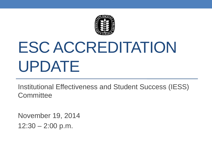

# ESC ACCREDITATION UPDATE

Institutional Effectiveness and Student Success (IESS) **Committee** 

November 19, 2014  $12:30 - 2:00$  p.m.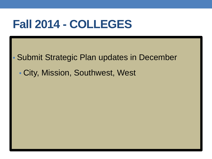### **Fall 2014 - COLLEGES**

• Submit Strategic Plan updates in December

• City, Mission, Southwest, West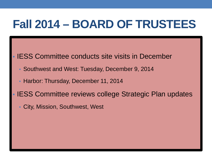## **Fall 2014 – BOARD OF TRUSTEES**

- **IESS Committee conducts site visits in December** 
	- Southwest and West: Tuesday, December 9, 2014
	- Harbor: Thursday, December 11, 2014
- IESS Committee reviews college Strategic Plan updates
	- City, Mission, Southwest, West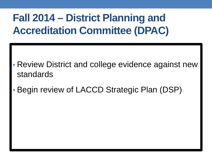#### **Fall 2014 – District Planning and Accreditation Committee (DPAC)**

- Review District and college evidence against new standards
- Begin review of LACCD Strategic Plan (DSP)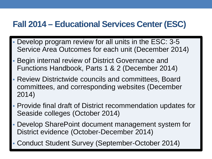#### **Fall 2014 – Educational Services Center (ESC)**

- Develop program review for all units in the ESC: 3-5 Service Area Outcomes for each unit (December 2014)
- Begin internal review of District Governance and Functions Handbook, Parts 1 & 2 (December 2014)
- Review Districtwide councils and committees, Board committees, and corresponding websites (December 2014)
- Provide final draft of District recommendation updates for Seaside colleges (October 2014)
- Develop SharePoint document management system for District evidence (October-December 2014)
- Conduct Student Survey (September-October 2014)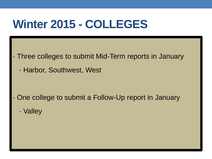#### **Winter 2015 - COLLEGES**

- Three colleges to submit Mid-Term reports in January
	- Harbor, Southwest, West

- One college to submit a Follow-Up report in January
	- Valley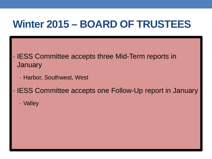#### **Winter 2015 – BOARD OF TRUSTEES**

- **IESS Committee accepts three Mid-Term reports in January** 
	- Harbor, Southwest, West
- IESS Committee accepts one Follow-Up report in January
	- Valley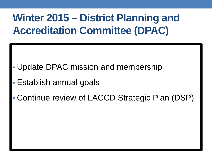#### **Winter 2015 – District Planning and Accreditation Committee (DPAC)**

- Update DPAC mission and membership
- Establish annual goals
- Continue review of LACCD Strategic Plan (DSP)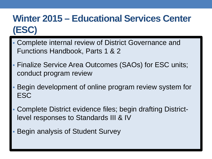#### **Winter 2015 – Educational Services Center (ESC)**

- Complete internal review of District Governance and Functions Handbook, Parts 1 & 2
- Finalize Service Area Outcomes (SAOs) for ESC units; conduct program review
- Begin development of online program review system for **ESC**
- Complete District evidence files; begin drafting Districtlevel responses to Standards III & IV
- Begin analysis of Student Survey